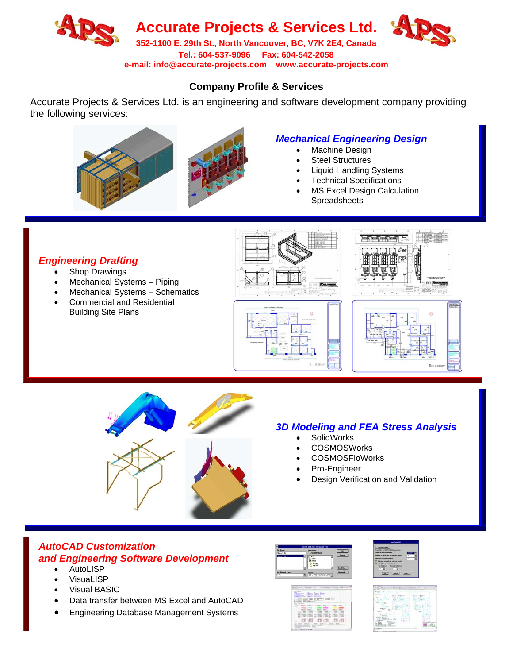

**Tel.: 604-537-9096 Fax: 604-542-2058** 

**e-mail: info@accurate-projects.com www.accurate-projects.com**

## **Company Profile & Services**

Accurate Projects & Services Ltd. is an engineering and software development company providing the following services:



## *Mechanical Engineering Design*

- Machine Design
- Steel Structures
- Liquid Handling Systems
- Technical Specifications
- **MS Excel Design Calculation Spreadsheets**

## *Engineering Drafting*

- Shop Drawings
- Mechanical Systems Piping
- Mechanical Systems Schematics
- Commercial and Residential Building Site Plans







## *3D Modeling and FEA Stress Analysis*

- **SolidWorks**
- COSMOSWorks
- COSMOSFloWorks
- Pro-Engineer
- Design Verification and Validation

# *AutoCAD Customization and Engineering Software Development*

- AutoLISP
- **VisuaLISP**
- Visual BASIC
- Data transfer between MS Excel and AutoCAD
- Engineering Database Management Systems







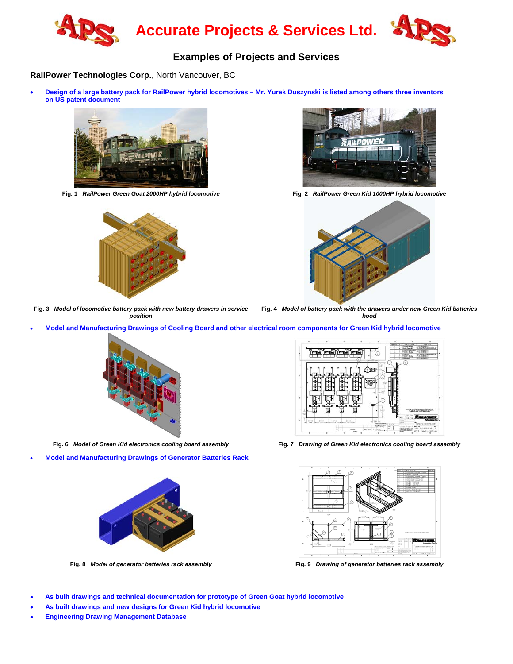

## **Examples of Projects and Services**

#### **RailPower Technologies Corp.**, North Vancouver, BC

• **Design of a large battery pack for RailPower hybrid locomotives – Mr. Yurek Duszynski is listed among others three inventors on US patent document** 





**Fig. 1** *RailPower Green Goat 2000HP hybrid locomotive* **Fig. 2** *RailPower Green Kid 1000HP hybrid locomotive*



**Fig. 3** *Model of locomotive battery pack with new battery drawers in service position*

**Fig. 4** *Model of battery pack with the drawers under new Green Kid batteries hood*

• **Model and Manufacturing Drawings of Cooling Board and other electrical room components for Green Kid hybrid locomotive**



• **Model and Manufacturing Drawings of Generator Batteries Rack**





**Fig. 6** *Model of Green Kid electronics cooling board assembly* **Fig. 7** *Drawing of Green Kid electronics cooling board assembly*



**Fig. 8** *Model of generator batteries rack assembly* **Fig. 9** *Drawing of generator batteries rack assembly*

- **As built drawings and technical documentation for prototype of Green Goat hybrid locomotive**
- **As built drawings and new designs for Green Kid hybrid locomotive**
- **Engineering Drawing Management Database**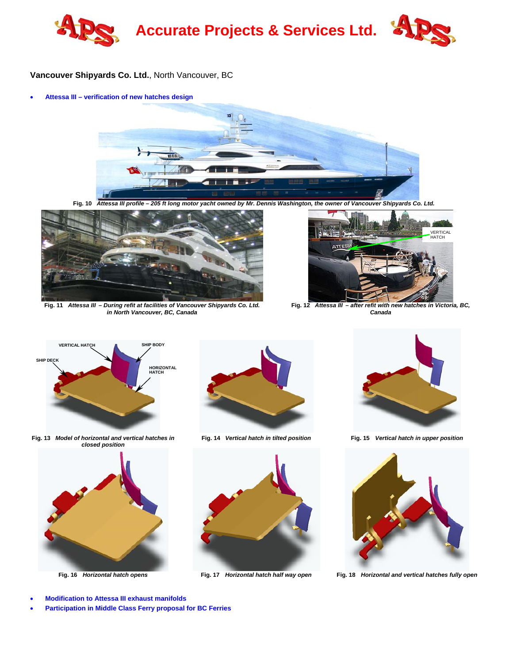

#### **Vancouver Shipyards Co. Ltd.**, North Vancouver, BC

• **Attessa III – verification of new hatches design** 



**Fig. 10** *Attessa III profile – 205 ft long motor yacht owned by Mr. Dennis Washington, the owner of Vancouver Shipyards Co. Ltd.* 



**Fig. 11** *Attessa III – During refit at facilities of Vancouver Shipyards Co. Ltd. in North Vancouver, BC, Canada*



**Fig. 12** *Attessa III – after refit with new hatches in Victoria, BC, Canada*



**Fig. 13** *Model of horizontal and vertical hatches in closed position*





**Fig. 14** *Vertical hatch in tilted position* **Fig. 15** *Vertical hatch in upper position*







**Fig. 16** *Horizontal hatch opens* **Fig. 17** *Horizontal hatch half way open* **Fig. 18** *Horizontal and vertical hatches fully open*

- **Modification to Attessa III exhaust manifolds**
- **Participation in Middle Class Ferry proposal for BC Ferries**